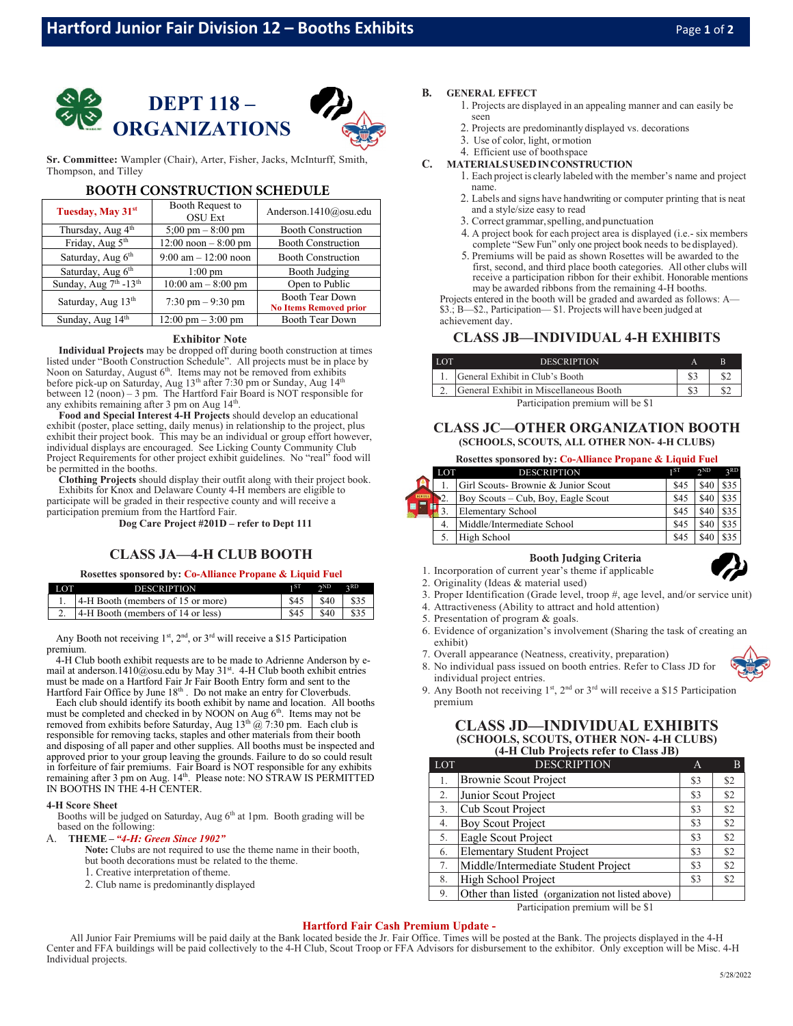



**Sr. Committee:** Wampler (Chair), Arter, Fisher, Jacks, McInturff, Smith, Thompson, and Tilley

### **BOOTH CONSTRUCTION SCHEDULE**

| Tuesday, May 31 <sup>st</sup>  | Booth Request to<br><b>OSU</b> Ext     | Anderson.1410@osu.edu                                   |  |
|--------------------------------|----------------------------------------|---------------------------------------------------------|--|
| Thursday, Aug 4 <sup>th</sup>  | $5:00 \text{ pm} - 8:00 \text{ pm}$    | <b>Booth Construction</b>                               |  |
| Friday, Aug 5 <sup>th</sup>    | $12:00$ noon $-8:00$ pm                | <b>Booth Construction</b>                               |  |
| Saturday, Aug 6 <sup>th</sup>  | $9:00 \text{ am} - 12:00 \text{ noon}$ | <b>Booth Construction</b>                               |  |
| Saturday, Aug 6 <sup>th</sup>  | $1:00$ pm                              | Booth Judging                                           |  |
| Sunday, Aug 7th -13th          | $10:00$ am $-8:00$ pm                  | Open to Public                                          |  |
| Saturday, Aug 13 <sup>th</sup> | $7:30 \text{ pm} - 9:30 \text{ pm}$    | <b>Booth Tear Down</b><br><b>No Items Removed prior</b> |  |
| Sunday, Aug 14 <sup>th</sup>   | $12:00 \text{ pm} - 3:00 \text{ pm}$   | <b>Booth Tear Down</b>                                  |  |

### **Exhibitor Note**

**Individual Projects** may be dropped off during booth construction at times listed under "Booth Construction Schedule". All projects must be in place by Noon on Saturday, August  $6<sup>th</sup>$ . Items may not be removed from exhibits before pick-up on Saturday, Aug 13<sup>th</sup> after 7:30 pm or Sunday, Aug 14<sup>th</sup> between 12 (noon) – 3 pm. The Hartford Fair Board is NOT responsible for any exhibits remaining after 3 pm on Aug 14<sup>th</sup>.

**Food and Special Interest 4-H Projects** should develop an educational exhibit (poster, place setting, daily menus) in relationship to the project, plus exhibit their project book. This may be an individual or group effort however, individual displays are encouraged. See Licking County Community Club Project Requirements for other project exhibit guidelines. No "real" food will be permitted in the booths.

**Clothing Projects** should display their outfit along with their project book. Exhibits for Knox and Delaware County 4-H members are eligible to participate will be graded in their respective county and will receive a participation premium from the Hartford Fair.

**Dog Care Project #201D – refer to Dept 111**

### **CLASS JA—4-H CLUB BOOTH**

### **Rosettes sponsored by: Co-Alliance Propane & Liquid Fuel**

| LOT | <b>DESCRIPTION</b>                   | $\sim$ ND                | 2RD |
|-----|--------------------------------------|--------------------------|-----|
|     | 1. 4-H Booth (members of 15 or more) | $\$45$   $\$40$   $\$35$ |     |
|     | 2. 4-H Booth (members of 14 or less) | $\$45$   $\$40$   $\$35$ |     |

Any Booth not receiving  $1^{st}$ ,  $2^{nd}$ , or  $3^{rd}$  will receive a \$15 Participation premium.

4-H Club booth exhibit requests are to be made to Adrienne Anderson by email a[t anderson.1410@osu.edu](mailto:anderson.1410@osu.edu) by May 31st. 4-H Club booth exhibit entries must be made on a Hartford Fair  $B \cdot \lim_{n \to \infty} \frac{1}{n}$ . Fair Booth Entry form and sent to the Hartford Fair Office by June 18<sup>th</sup>. Do not make an entry for Cloverbuds.

Each club should identify its booth exhibit by name and location. All booths must be completed and checked in by NOON on Aug  $6<sup>th</sup>$ . Items may not be removed from exhibits before Saturday, Aug  $13<sup>th</sup>$  @ 7:30 pm. Each club is responsible for removing tacks, staples and other materials from their booth and disposing of all paper and other supplies. All booths must be inspected and approved prior to your group leaving the grounds. Failure to do so could result in forfeiture of fair premiums. Fair Board is NOT responsible for any exhibits remaining after 3 pm on Aug. 14<sup>th</sup>. Please note: NO STRAW IS PERMITTED IN BOOTHS IN THE 4-H CENTER.

### **4-H Score Sheet**

Booths will be judged on Saturday, Aug 6<sup>th</sup> at 1pm. Booth grading will be based on the following:

### A. **THEME –** *"4-H: Green Since 1902"*

**Note:** Clubs are not required to use the theme name in their booth, but booth decorations must be related to the theme.

- 1. Creative interpretation oftheme.
- 2. Club name is predominantly displayed

### **B. GENERAL EFFECT**

- 1. Projects are displayed in an appealing manner and can easily be seen
- 2. Projects are predominantly displayed vs. decorations
- 3. Use of color, light, ormotion
- 4. Efficient use of boothspace
- **C. MATERIALSUSEDINCONSTRUCTION**
	- 1. Each project is clearly labeled with the member's name and project name.
	- 2. Labels and signs have handwriting or computer printing that is neat and a style/size easy to read
	- 3. Correct grammar, spelling, and punctuation
	- 4. A project book for each project area is displayed (i.e.- six members complete "Sew Fun" only one project book needs to be displayed).
	- 5. Premiums will be paid as shown Rosettes will be awarded to the first, second, and third place booth categories. All other clubs will receive a participation ribbon for their exhibit. Honorable mentions may be awarded ribbons from the remaining 4-H booths.

Projects entered in the booth will be graded and awarded as follows: A— \$3.; B—\$2., Participation— \$1. Projects will have been judged at

achievement day.

### **CLASS JB—INDIVIDUAL 4-H EXHIBITS**

| <b>LOT</b>                        | <b>DESCRIPTION</b>                     |  |  |
|-----------------------------------|----------------------------------------|--|--|
|                                   | General Exhibit in Club's Booth        |  |  |
|                                   | General Exhibit in Miscellaneous Booth |  |  |
| Participation premium will be \$1 |                                        |  |  |

### **CLASS JC—OTHER ORGANIZATION BOOTH (SCHOOLS, SCOUTS, ALL OTHER NON- 4-H CLUBS)**

### **Rosettes sponsored by: Co-Alliance Propane & Liquid Fuel**

|        | LOT | <b>DESCRIPTION</b>                  | 1 ST | 2 <sub>ND</sub> | 2RD |
|--------|-----|-------------------------------------|------|-----------------|-----|
|        |     | Girl Scouts- Brownie & Junior Scout | \$45 |                 |     |
| SCHOOL |     | Boy Scouts – Cub, Boy, Eagle Scout  | \$45 | \$40            |     |
|        |     | Elementary School                   | \$45 | \$40            |     |
|        |     | Middle/Intermediate School          | \$45 | \$40            |     |
|        |     | High School                         | \$4  |                 |     |

### **Booth Judging Criteria**

- 1. Incorporation of current year's theme if applicable
- 
- 
- 2. Originality (Ideas & material used)
- 3. Proper Identification (Grade level, troop #, age level, and/or service unit)
- 4. Attractiveness (Ability to attract and hold attention)
- 5. Presentation of program & goals.
- 6. Evidence of organization's involvement (Sharing the task of creating an exhibit)
- 7. Overall appearance (Neatness, creativity, preparation)
- 8. No individual pass issued on booth entries. Refer to Class JD for individual project entries.
- 9. Any Booth not receiving  $1^{st}$ ,  $2^{nd}$  or  $3^{rd}$  will receive a \$15 Participation premium

### **CLASS JD—INDIVIDUAL EXHIBITS (SCHOOLS, SCOUTS, OTHER NON- 4-H CLUBS) (4-H Club Projects refer to Class JB)**

| LOT | <b>DESCRIPTION</b>                                | А   |     |
|-----|---------------------------------------------------|-----|-----|
| 1.  | <b>Brownie Scout Project</b>                      | \$3 | \$2 |
| 2.  | Junior Scout Project                              | \$3 | \$2 |
| 3.  | Cub Scout Project                                 | \$3 | \$2 |
| 4.  | Boy Scout Project                                 | \$3 | \$2 |
| 5.  | Eagle Scout Project                               | \$3 | \$2 |
| 6.  | Elementary Student Project                        | \$3 | \$2 |
| 7.  | Middle/Intermediate Student Project               | \$3 | \$2 |
| 8.  | High School Project                               | \$3 | \$2 |
| 9.  | Other than listed (organization not listed above) |     |     |

Participation premium will be \$1

### **Hartford Fair Cash Premium Update -**

All Junior Fair Premiums will be paid daily at the Bank located beside the Jr. Fair Office. Times will be posted at the Bank. The projects displayed in the 4-H Center and FFA buildings will be paid collectively to the 4-H Club, Scout Troop or FFA Advisors for disbursement to the exhibitor. Only exception will be Misc. 4-H Individual projects.